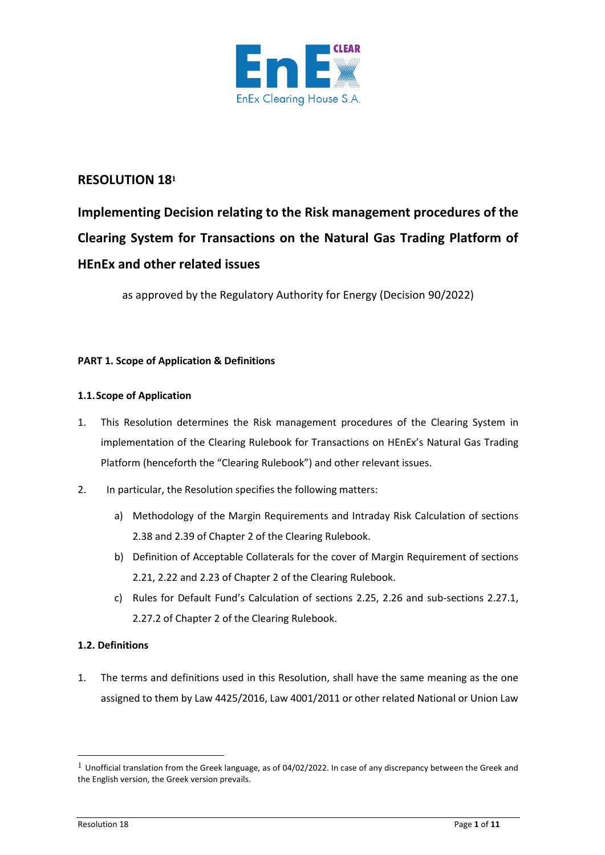

### **RESOLUTION 18<sup>1</sup>**

# **Implementing Decision relating to the Risk management procedures of the Clearing System for Transactions on the Natural Gas Trading Platform of HEnEx and other related issues**

as approved by the Regulatory Authority for Energy (Decision 90/2022)

### **PART 1. Scope of Application & Definitions**

### **1.1.Scope of Application**

- 1. This Resolution determines the Risk management procedures of the Clearing System in implementation of the Clearing Rulebook for Transactions on HEnEx's Natural Gas Trading Platform (henceforth the "Clearing Rulebook") and other relevant issues.
- 2. In particular, the Resolution specifies the following matters:
	- a) Methodology of the Margin Requirements and Intraday Risk Calculation of sections 2.38 and 2.39 of Chapter 2 of the Clearing Rulebook.
	- b) Definition of Acceptable Collaterals for the cover of Margin Requirement of sections 2.21, 2.22 and 2.23 of Chapter 2 of the Clearing Rulebook.
	- c) Rules for Default Fund's Calculation of sections 2.25, 2.26 and sub-sections 2.27.1, 2.27.2 of Chapter 2 of the Clearing Rulebook.

### **1.2. Definitions**

1. The terms and definitions used in this Resolution, shall have the same meaning as the one assigned to them by Law 4425/2016, Law 4001/2011 or other related National or Union Law

 $1$  Unofficial translation from the Greek language, as of 04/02/2022. In case of any discrepancy between the Greek and the English version, the Greek version prevails.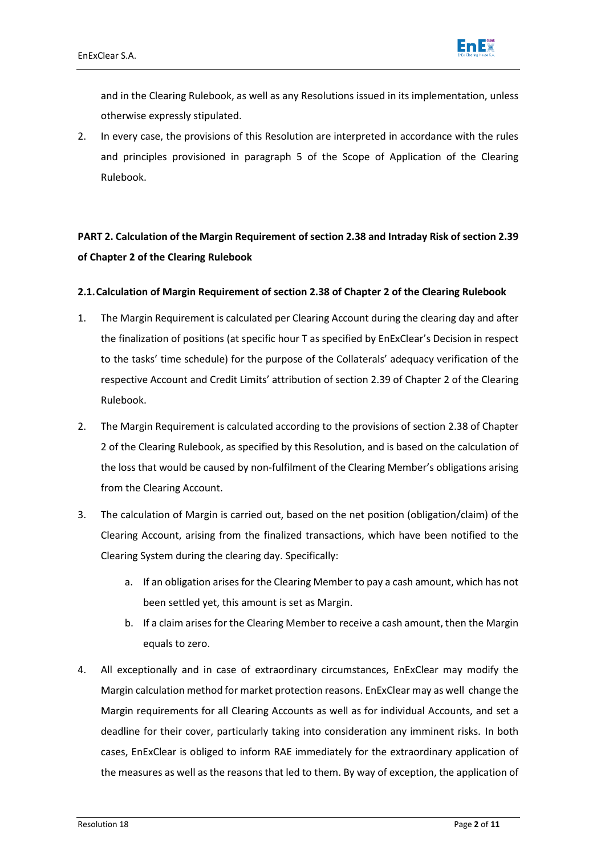

and in the Clearing Rulebook, as well as any Resolutions issued in its implementation, unless otherwise expressly stipulated.

2. In every case, the provisions of this Resolution are interpreted in accordance with the rules and principles provisioned in paragraph 5 of the Scope of Application of the Clearing Rulebook.

# **PART 2. Calculation of the Margin Requirement of section 2.38 and Intraday Risk of section 2.39 of Chapter 2 of the Clearing Rulebook**

#### **2.1.Calculation of Margin Requirement of section 2.38 of Chapter 2 of the Clearing Rulebook**

- 1. The Margin Requirement is calculated per Clearing Account during the clearing day and after the finalization of positions (at specific hour Τ as specified by EnExClear's Decision in respect to the tasks' time schedule) for the purpose of the Collaterals' adequacy verification of the respective Account and Credit Limits' attribution of section 2.39 of Chapter 2 of the Clearing Rulebook.
- 2. The Margin Requirement is calculated according to the provisions of section 2.38 of Chapter 2 of the Clearing Rulebook, as specified by this Resolution, and is based on the calculation of the loss that would be caused by non-fulfilment of the Clearing Member's obligations arising from the Clearing Account.
- 3. The calculation of Margin is carried out, based on the net position (obligation/claim) of the Clearing Account, arising from the finalized transactions, which have been notified to the Clearing System during the clearing day. Specifically:
	- a. If an obligation arises for the Clearing Member to pay a cash amount, which has not been settled yet, this amount is set as Margin.
	- b. If a claim arises for the Clearing Member to receive a cash amount, then the Margin equals to zero.
- 4. All exceptionally and in case of extraordinary circumstances, EnExClear may modify the Margin calculation method for market protection reasons. EnExClear may as well change the Margin requirements for all Clearing Accounts as well as for individual Accounts, and set a deadline for their cover, particularly taking into consideration any imminent risks. In both cases, EnExClear is obliged to inform RAE immediately for the extraordinary application of the measures as well as the reasons that led to them. By way of exception, the application of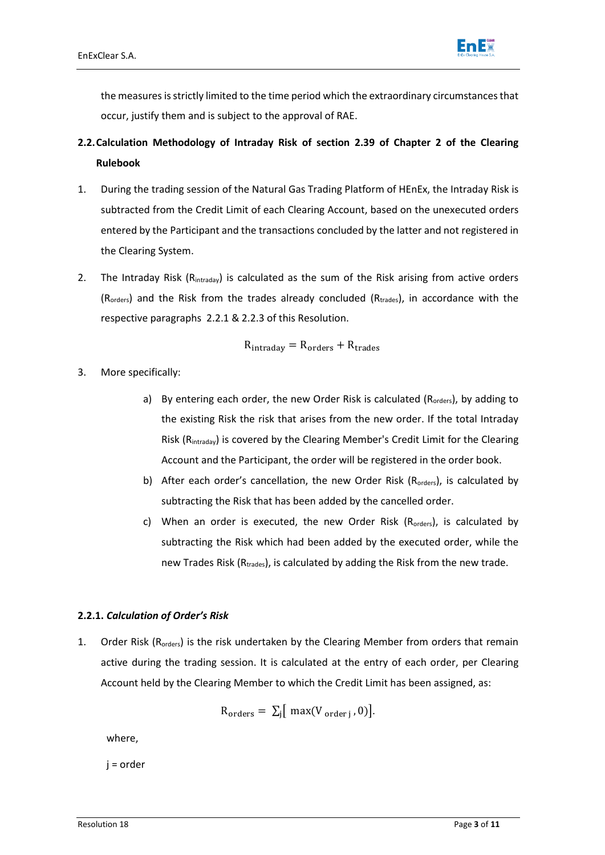

the measures is strictly limited to the time period which the extraordinary circumstances that occur, justify them and is subject to the approval of RAE.

- **2.2.Calculation Methodology of Intraday Risk of section 2.39 of Chapter 2 of the Clearing Rulebook**
- 1. During the trading session of the Natural Gas Trading Platform of HEnEx, the Intraday Risk is subtracted from the Credit Limit of each Clearing Account, based on the unexecuted orders entered by the Participant and the transactions concluded by the latter and not registered in the Clearing System.
- 2. The Intraday Risk (R<sub>intraday</sub>) is calculated as the sum of the Risk arising from active orders  $(R_{orders})$  and the Risk from the trades already concluded  $(R_{trades})$ , in accordance with the respective paragraphs [2.2.1](#page-2-0) & [2.2.3](#page-3-0) of this Resolution.

$$
R_{intraday} = R_{orders} + R_{trades}
$$

- 3. More specifically:
	- a) By entering each order, the new Order Risk is calculated ( $R_{orders}$ ), by adding to the existing Risk the risk that arises from the new order. If the total Intraday Risk (Rintraday) is covered by the Clearing Member's Credit Limit for the Clearing Account and the Participant, the order will be registered in the order book.
	- b) After each order's cancellation, the new Order Risk ( $R_{orders}$ ), is calculated by subtracting the Risk that has been added by the cancelled order.
	- c) When an order is executed, the new Order Risk (R<sub>orders</sub>), is calculated by subtracting the Risk which had been added by the executed order, while the new Trades Risk ( $R_{\text{trades}}$ ), is calculated by adding the Risk from the new trade.

#### <span id="page-2-0"></span>**2.2.1.** *Calculation of Order's Risk*

1. Order Risk (R<sub>orders</sub>) is the risk undertaken by the Clearing Member from orders that remain active during the trading session. It is calculated at the entry of each order, per Clearing Account held by the Clearing Member to which the Credit Limit has been assigned, as:

$$
R_{\text{orders}} = \sum_j [\text{ max}(V_{\text{ order }j}, 0)].
$$

where,

j = order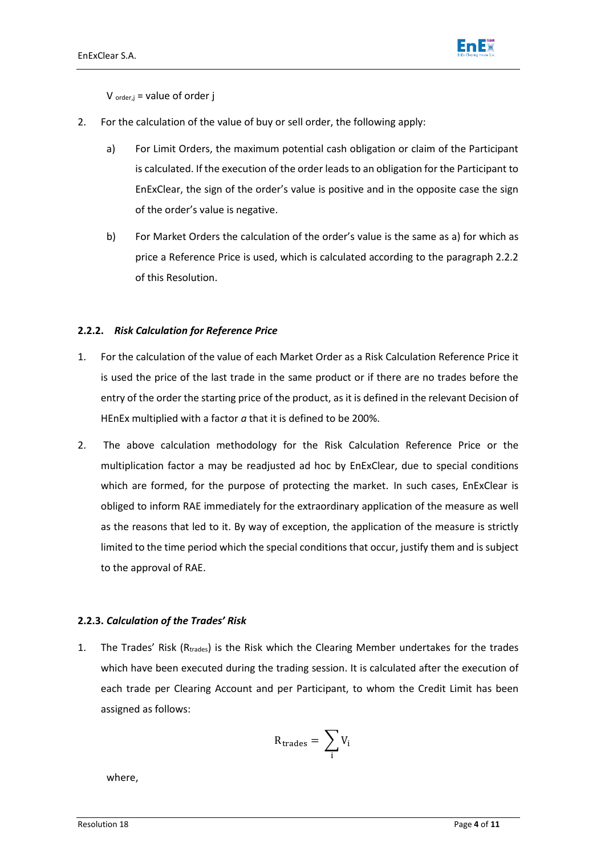

 $V_{\text{order},j}$  = value of order j

- 2. For the calculation of the value of buy or sell order, the following apply:
	- a) For Limit Orders, the maximum potential cash obligation or claim of the Participant is calculated. If the execution of the order leads to an obligation for the Participant to EnExClear, the sign of the order's value is positive and in the opposite case the sign of the order's value is negative.
	- b) For Market Orders the calculation of the order's value is the same as a) for which as price a Reference Price is used, which is calculated according to the paragraph [2.2.2](#page-3-1) of this Resolution.

#### <span id="page-3-1"></span>**2.2.2.** *Risk Calculation for Reference Price*

- 1. For the calculation of the value of each Market Order as a Risk Calculation Reference Price it is used the price of the last trade in the same product or if there are no trades before the entry of the order the starting price of the product, as it is defined in the relevant Decision of HEnEx multiplied with a factor *a* that it is defined to be 200%.
- 2. The above calculation methodology for the Risk Calculation Reference Price or the multiplication factor a may be readjusted ad hoc by EnExClear, due to special conditions which are formed, for the purpose of protecting the market. In such cases, EnExClear is obliged to inform RAE immediately for the extraordinary application of the measure as well as the reasons that led to it. By way of exception, the application of the measure is strictly limited to the time period which the special conditions that occur, justify them and is subject to the approval of RAE.

#### <span id="page-3-0"></span>**2.2.3.** *Calculation of the Trades' Risk*

1. The Trades' Risk ( $R_{\text{trades}}$ ) is the Risk which the Clearing Member undertakes for the trades which have been executed during the trading session. It is calculated after the execution of each trade per Clearing Account and per Participant, to whom the Credit Limit has been assigned as follows:

$$
R_{\text{trades}} = \sum_i V_i
$$

where,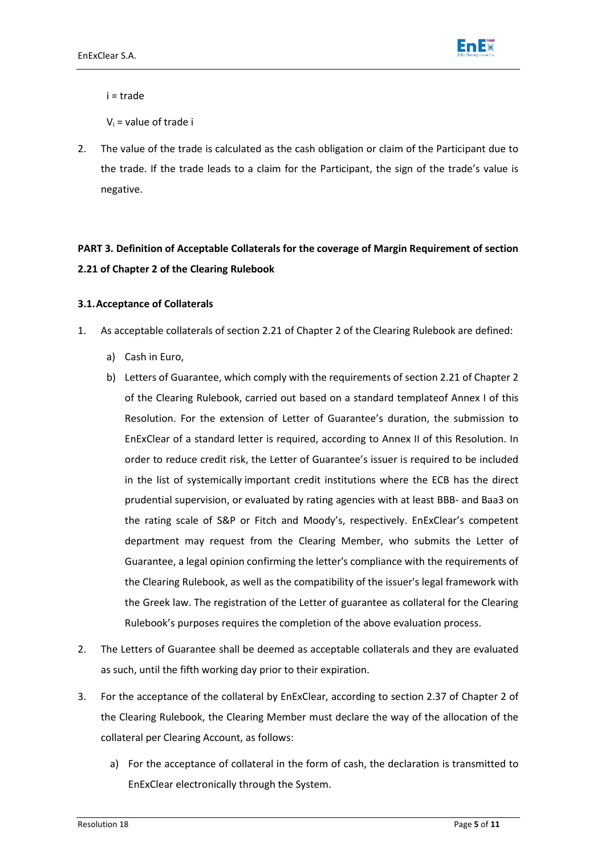

i = trade

 $V_i$  = value of trade i

2. The value of the trade is calculated as the cash obligation or claim of the Participant due to the trade. If the trade leads to a claim for the Participant, the sign of the trade's value is negative.

# **PART 3. Definition of Acceptable Collaterals for the coverage of Margin Requirement of section 2.21 of Chapter 2 of the Clearing Rulebook**

#### **3.1.Acceptance of Collaterals**

- 1. As acceptable collaterals of section 2.21 of Chapter 2 of the Clearing Rulebook are defined:
	- a) Cash in Euro,
	- b) Letters of Guarantee, which comply with the requirements of section 2.21 of Chapter 2 of the Clearing Rulebook, carried out based on a standard templateof Annex Ι of this Resolution. For the extension of Letter of Guarantee's duration, the submission to EnExClear of a standard letter is required, according to Annex ΙΙ of this Resolution. In order to reduce credit risk, the Letter of Guarantee's issuer is required to be included in the list of systemically important credit institutions where the ECB has the direct prudential supervision, or evaluated by rating agencies with at least BBB- and Baa3 on the rating scale of S&P or Fitch and Moody's, respectively. EnExClear's competent department may request from the Clearing Member, who submits the Letter of Guarantee, a legal opinion confirming the letter's compliance with the requirements of the Clearing Rulebook, as well as the compatibility of the issuer's legal framework with the Greek law. The registration of the Letter of guarantee as collateral for the Clearing Rulebook's purposes requires the completion of the above evaluation process.
- 2. The Letters of Guarantee shall be deemed as acceptable collaterals and they are evaluated as such, until the fifth working day prior to their expiration.
- 3. For the acceptance of the collateral by EnExClear, according to section 2.37 of Chapter 2 of the Clearing Rulebook, the Clearing Member must declare the way of the allocation of the collateral per Clearing Account, as follows:
	- a) For the acceptance of collateral in the form of cash, the declaration is transmitted to EnExClear electronically through the System.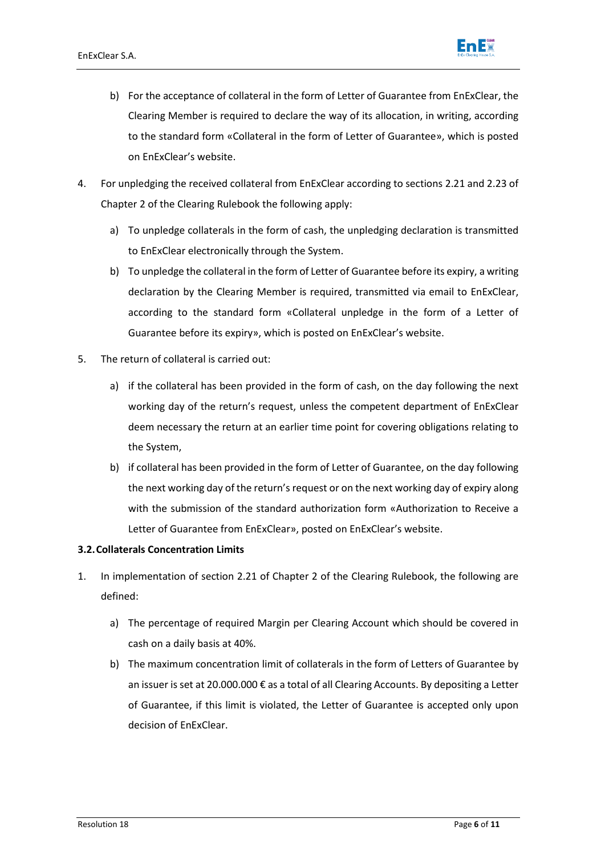

- b) For the acceptance of collateral in the form of Letter of Guarantee from EnExClear, the Clearing Member is required to declare the way of its allocation, in writing, according to the standard form «Collateral in the form of Letter of Guarantee», which is posted on EnExClear's website.
- 4. For unpledging the received collateral from EnExClear according to sections 2.21 and 2.23 of Chapter 2 of the Clearing Rulebook the following apply:
	- a) To unpledge collaterals in the form of cash, the unpledging declaration is transmitted to EnExClear electronically through the System.
	- b) To unpledge the collateral in the form of Letter of Guarantee before its expiry, a writing declaration by the Clearing Member is required, transmitted via email to EnExClear, according to the standard form «Collateral unpledge in the form of a Letter of Guarantee before its expiry», which is posted on EnExClear's website.
- 5. The return of collateral is carried out:
	- a) if the collateral has been provided in the form of cash, on the day following the next working day of the return's request, unless the competent department of EnExClear deem necessary the return at an earlier time point for covering obligations relating to the System,
	- b) if collateral has been provided in the form of Letter of Guarantee, on the day following the next working day of the return's request or on the next working day of expiry along with the submission of the standard authorization form «Authorization to Receive a Letter of Guarantee from EnExClear», posted on EnExClear's website.

#### **3.2.Collaterals Concentration Limits**

- 1. In implementation of section 2.21 of Chapter 2 of the Clearing Rulebook, the following are defined:
	- a) The percentage of required Margin per Clearing Account which should be covered in cash on a daily basis at 40%.
	- b) The maximum concentration limit of collaterals in the form of Letters of Guarantee by an issuer is set at 20.000.000 € as a total of all Clearing Accounts. By depositing a Letter of Guarantee, if this limit is violated, the Letter of Guarantee is accepted only upon decision of EnExClear.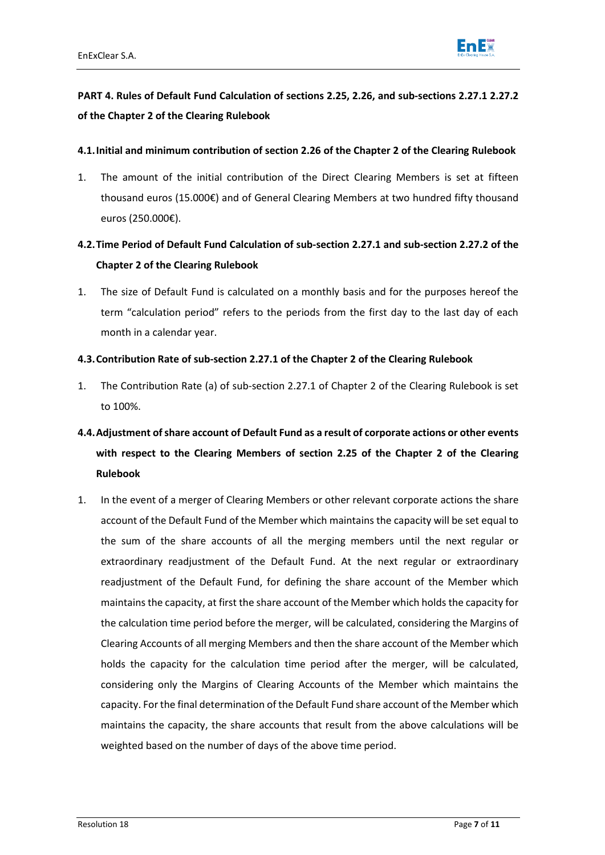

# **PART 4. Rules of Default Fund Calculation of sections 2.25, 2.26, and sub-sections 2.27.1 2.27.2 of the Chapter 2 of the Clearing Rulebook**

#### **4.1.Initial and minimum contribution of section 2.26 of the Chapter 2 of the Clearing Rulebook**

1. The amount of the initial contribution of the Direct Clearing Members is set at fifteen thousand euros (15.000€) and of General Clearing Members at two hundred fifty thousand euros (250.000€).

# **4.2.Time Period of Default Fund Calculation of sub-section 2.27.1 and sub-section 2.27.2 of the Chapter 2 of the Clearing Rulebook**

1. The size of Default Fund is calculated on a monthly basis and for the purposes hereof the term "calculation period" refers to the periods from the first day to the last day of each month in a calendar year.

#### **4.3.Contribution Rate of sub-section 2.27.1 of the Chapter 2 of the Clearing Rulebook**

- 1. The Contribution Rate (a) of sub-section 2.27.1 of Chapter 2 of the Clearing Rulebook is set to 100%.
- **4.4.Adjustment of share account of Default Fund as a result of corporate actions or other events with respect to the Clearing Members of section 2.25 of the Chapter 2 of the Clearing Rulebook**
- 1. In the event of a merger of Clearing Members or other relevant corporate actions the share account of the Default Fund of the Member which maintains the capacity will be set equal to the sum of the share accounts of all the merging members until the next regular or extraordinary readjustment of the Default Fund. At the next regular or extraordinary readjustment of the Default Fund, for defining the share account of the Member which maintains the capacity, at first the share account of the Μember which holds the capacity for the calculation time period before the merger, will be calculated, considering the Margins of Clearing Accounts of all merging Members and then the share account of the Μember which holds the capacity for the calculation time period after the merger, will be calculated, considering only the Margins of Clearing Accounts of the Member which maintains the capacity. For the final determination of the Default Fund share account of the Member which maintains the capacity, the share accounts that result from the above calculations will be weighted based on the number of days of the above time period.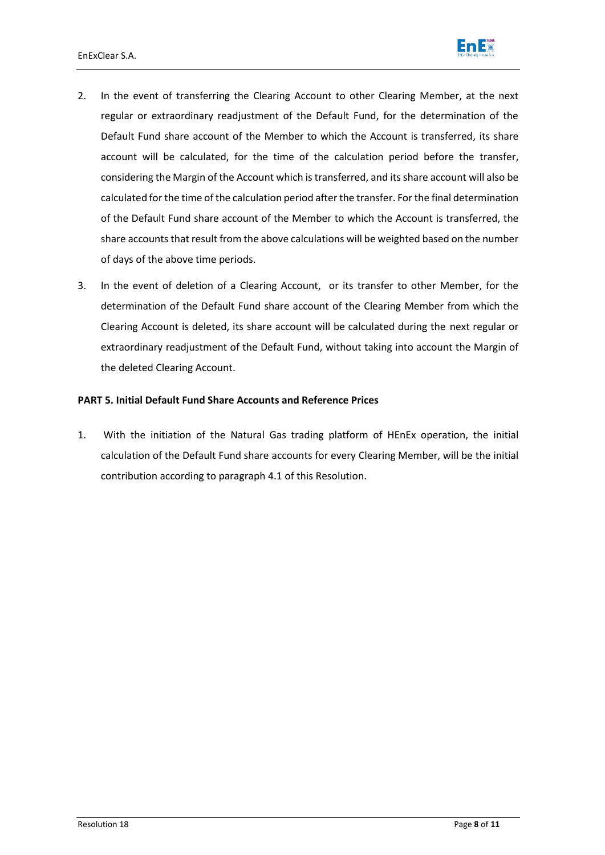

- 2. In the event of transferring the Clearing Account to other Clearing Member, at the next regular or extraordinary readjustment of the Default Fund, for the determination of the Default Fund share account of the Member to which the Account is transferred, its share account will be calculated, for the time of the calculation period before the transfer, considering the Margin of the Account which is transferred, and its share account will also be calculated for the time of the calculation period after the transfer. For the final determination of the Default Fund share account of the Member to which the Account is transferred, the share accounts that result from the above calculations will be weighted based on the number of days of the above time periods.
- 3. In the event of deletion of a Clearing Account, or its transfer to other Member, for the determination of the Default Fund share account of the Clearing Member from which the Clearing Account is deleted, its share account will be calculated during the next regular or extraordinary readjustment of the Default Fund, without taking into account the Margin of the deleted Clearing Account.

#### **PART 5. Initial Default Fund Share Accounts and Reference Prices**

1. With the initiation of the Natural Gas trading platform of HEnEx operation, the initial calculation of the Default Fund share accounts for every Clearing Member, will be the initial contribution according to paragraph 4.1 of this Resolution.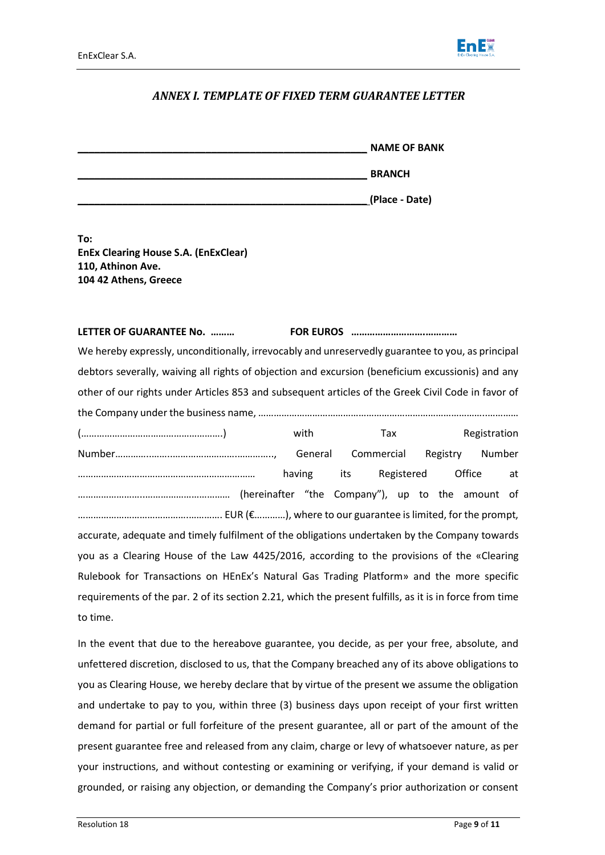

### *ANNEX I. TEMPLATE OF FIXED TERM GUARANTEE LETTER*

| <b>NAME OF BANK</b> |
|---------------------|
| <b>BRANCH</b>       |
| (Place - Date)      |

**To: EnEx Clearing House S.A. (EnExClear) 110, Athinon Ave. 104 42 Athens, Greece**

#### **LETTER OF GUARANTEE No. ……… FOR EUROS ……………………….…………**

We hereby expressly, unconditionally, irrevocably and unreservedly guarantee to you, as principal debtors severally, waiving all rights of objection and excursion (beneficium excussionis) and any other of our rights under Articles 853 and subsequent articles of the Greek Civil Code in favor of the Company under the business name, ……………………………………………………………………………..…………

(……………………………………………….) with Tax Registration Number…………..……..…………………….………….., General Commercial Registry Number …………………………………………………………… having its Registered Office at ……………………..…………………………… (hereinafter "the Company"), up to the amount of …………………………………….…………. EUR (€…………), where to our guarantee is limited, for the prompt, accurate, adequate and timely fulfilment of the obligations undertaken by the Company towards you as a Clearing House of the Law 4425/2016, according to the provisions of the «Clearing Rulebook for Transactions on HEnEx's Natural Gas Trading Platform» and the more specific requirements of the par. 2 of its section 2.21, which the present fulfills, as it is in force from time to time.

In the event that due to the hereabove guarantee, you decide, as per your free, absolute, and unfettered discretion, disclosed to us, that the Company breached any of its above obligations to you as Clearing House, we hereby declare that by virtue of the present we assume the obligation and undertake to pay to you, within three (3) business days upon receipt of your first written demand for partial or full forfeiture of the present guarantee, all or part of the amount of the present guarantee free and released from any claim, charge or levy of whatsoever nature, as per your instructions, and without contesting or examining or verifying, if your demand is valid or grounded, or raising any objection, or demanding the Company's prior authorization or consent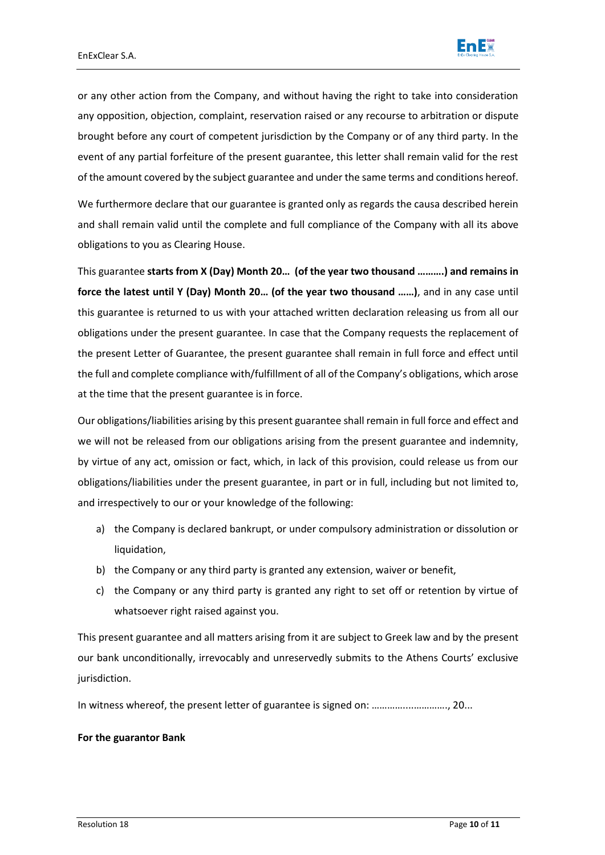

or any other action from the Company, and without having the right to take into consideration any opposition, objection, complaint, reservation raised or any recourse to arbitration or dispute brought before any court of competent jurisdiction by the Company or of any third party. In the event of any partial forfeiture of the present guarantee, this letter shall remain valid for the rest of the amount covered by the subject guarantee and under the same terms and conditions hereof.

We furthermore declare that our guarantee is granted only as regards the causa described herein and shall remain valid until the complete and full compliance of the Company with all its above obligations to you as Clearing House.

This guarantee **starts from Χ (Day) Month 20… (of the year two thousand ……….) and remains in force the latest until Υ (Day) Month 20… (of the year two thousand ……)**, and in any case until this guarantee is returned to us with your attached written declaration releasing us from all our obligations under the present guarantee. In case that the Company requests the replacement of the present Letter of Guarantee, the present guarantee shall remain in full force and effect until the full and complete compliance with/fulfillment of all of the Company's obligations, which arose at the time that the present guarantee is in force.

Our obligations/liabilities arising by this present guarantee shall remain in full force and effect and we will not be released from our obligations arising from the present guarantee and indemnity, by virtue of any act, omission or fact, which, in lack of this provision, could release us from our obligations/liabilities under the present guarantee, in part or in full, including but not limited to, and irrespectively to our or your knowledge of the following:

- a) the Company is declared bankrupt, or under compulsory administration or dissolution or liquidation,
- b) the Company or any third party is granted any extension, waiver or benefit,
- c) the Company or any third party is granted any right to set off or retention by virtue of whatsoever right raised against you.

This present guarantee and all matters arising from it are subject to Greek law and by the present our bank unconditionally, irrevocably and unreservedly submits to the Athens Courts' exclusive jurisdiction.

In witness whereof, the present letter of guarantee is signed on: …………....…………., 20...

#### **For the guarantor Bank**